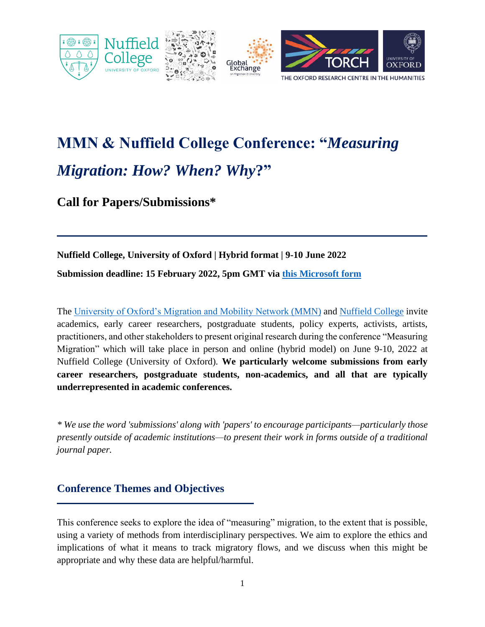

# **MMN & Nuffield College Conference: "***Measuring Migration: How? When? Why***?"**

**Call for Papers/Submissions\***

# **Nuffield College, University of Oxford | Hybrid format | 9-10 June 2022**

**Submission deadline: 15 February 2022, 5pm GMT via [this Microsoft form](https://forms.office.com/Pages/ResponsePage.aspx?id=G96VzPWXk0-0uv5ouFLPkfP1-Fy75etMmR8XbQ-NrfBURUcxSktHUjRVUEFaMkFUNldRSERYOVBWNC4u)**

The [University of Oxford's Migration and Mobility Network \(MMN\)](https://www.torch.ox.ac.uk/migration-and-mobility) and [Nuffield College](https://www.nuffield.ox.ac.uk/) invite academics, early career researchers, postgraduate students, policy experts, activists, artists, practitioners, and other stakeholders to present original research during the conference "Measuring Migration" which will take place in person and online (hybrid model) on June 9-10, 2022 at Nuffield College (University of Oxford). **We particularly welcome submissions from early career researchers, postgraduate students, non-academics, and all that are typically underrepresented in academic conferences.**

*\* We use the word 'submissions' along with 'papers' to encourage participants—particularly those presently outside of academic institutions—to present their work in forms outside of a traditional journal paper.*

## **Conference Themes and Objectives**

This conference seeks to explore the idea of "measuring" migration, to the extent that is possible, using a variety of methods from interdisciplinary perspectives. We aim to explore the ethics and implications of what it means to track migratory flows, and we discuss when this might be appropriate and why these data are helpful/harmful.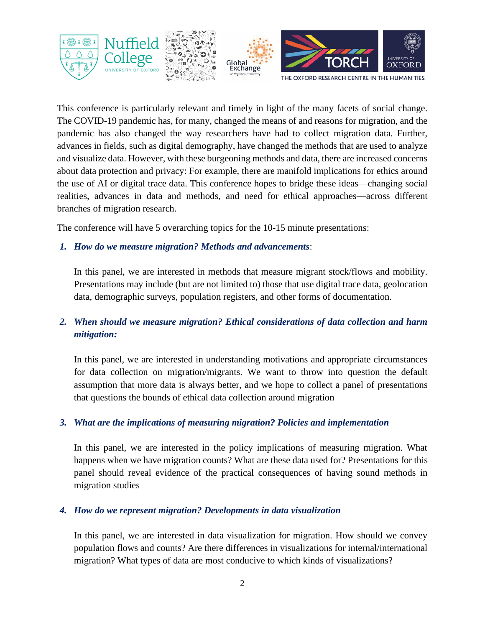

This conference is particularly relevant and timely in light of the many facets of social change. The COVID-19 pandemic has, for many, changed the means of and reasons for migration, and the pandemic has also changed the way researchers have had to collect migration data. Further, advances in fields, such as digital demography, have changed the methods that are used to analyze and visualize data. However, with these burgeoning methods and data, there are increased concerns about data protection and privacy: For example, there are manifold implications for ethics around the use of AI or digital trace data. This conference hopes to bridge these ideas—changing social realities, advances in data and methods, and need for ethical approaches—across different branches of migration research.

The conference will have 5 overarching topics for the 10-15 minute presentations:

#### *1. How do we measure migration? Methods and advancements*:

In this panel, we are interested in methods that measure migrant stock/flows and mobility. Presentations may include (but are not limited to) those that use digital trace data, geolocation data, demographic surveys, population registers, and other forms of documentation.

## *2. When should we measure migration? Ethical considerations of data collection and harm mitigation:*

In this panel, we are interested in understanding motivations and appropriate circumstances for data collection on migration/migrants. We want to throw into question the default assumption that more data is always better, and we hope to collect a panel of presentations that questions the bounds of ethical data collection around migration

#### *3. What are the implications of measuring migration? Policies and implementation*

In this panel, we are interested in the policy implications of measuring migration. What happens when we have migration counts? What are these data used for? Presentations for this panel should reveal evidence of the practical consequences of having sound methods in migration studies

#### *4. How do we represent migration? Developments in data visualization*

In this panel, we are interested in data visualization for migration. How should we convey population flows and counts? Are there differences in visualizations for internal/international migration? What types of data are most conducive to which kinds of visualizations?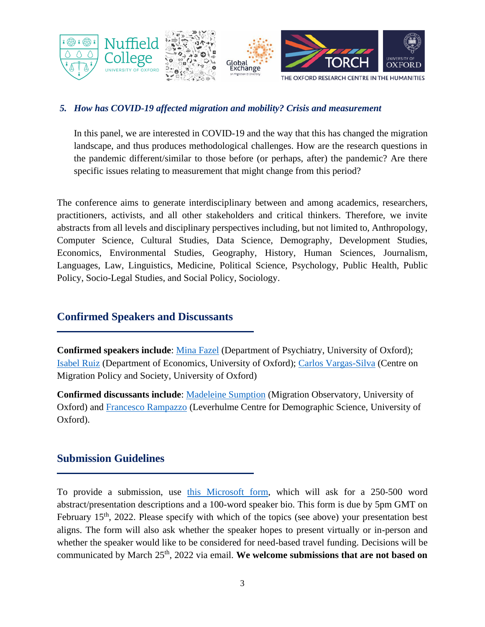

#### *5. How has COVID-19 affected migration and mobility? Crisis and measurement*

In this panel, we are interested in COVID-19 and the way that this has changed the migration landscape, and thus produces methodological challenges. How are the research questions in the pandemic different/similar to those before (or perhaps, after) the pandemic? Are there specific issues relating to measurement that might change from this period?

The conference aims to generate interdisciplinary between and among academics, researchers, practitioners, activists, and all other stakeholders and critical thinkers. Therefore, we invite abstracts from all levels and disciplinary perspectives including, but not limited to, Anthropology, Computer Science, Cultural Studies, Data Science, Demography, Development Studies, Economics, Environmental Studies, Geography, History, Human Sciences, Journalism, Languages, Law, Linguistics, Medicine, Political Science, Psychology, Public Health, Public Policy, Socio-Legal Studies, and Social Policy, Sociology.

## **Confirmed Speakers and Discussants**

**Confirmed speakers include**: [Mina Fazel](https://www.psych.ox.ac.uk/team/mina-fazel) (Department of Psychiatry, University of Oxford); [Isabel Ruiz](https://www.economics.ox.ac.uk/people/isabel-ruiz) (Department of Economics, University of Oxford); [Carlos Vargas-Silva](https://www.compas.ox.ac.uk/people/carlos-vargas-silva/) (Centre on Migration Policy and Society, University of Oxford)

**Confirmed discussants include**: [Madeleine Sumption](https://migrationobservatory.ox.ac.uk/about/people/madeleine-sumption/) (Migration Observatory, University of Oxford) and [Francesco Rampazzo](https://www.demographicscience.ox.ac.uk/francesco-rampazzo) (Leverhulme Centre for Demographic Science, University of Oxford).

## **Submission Guidelines**

To provide a submission, use [this Microsoft form,](https://forms.office.com/Pages/ResponsePage.aspx?id=G96VzPWXk0-0uv5ouFLPkfP1-Fy75etMmR8XbQ-NrfBURUcxSktHUjRVUEFaMkFUNldRSERYOVBWNC4u) which will ask for a 250-500 word abstract/presentation descriptions and a 100-word speaker bio. This form is due by 5pm GMT on February  $15<sup>th</sup>$ , 2022. Please specify with which of the topics (see above) your presentation best aligns. The form will also ask whether the speaker hopes to present virtually or in-person and whether the speaker would like to be considered for need-based travel funding. Decisions will be communicated by March 25<sup>th</sup>, 2022 via email. We welcome submissions that are not based on